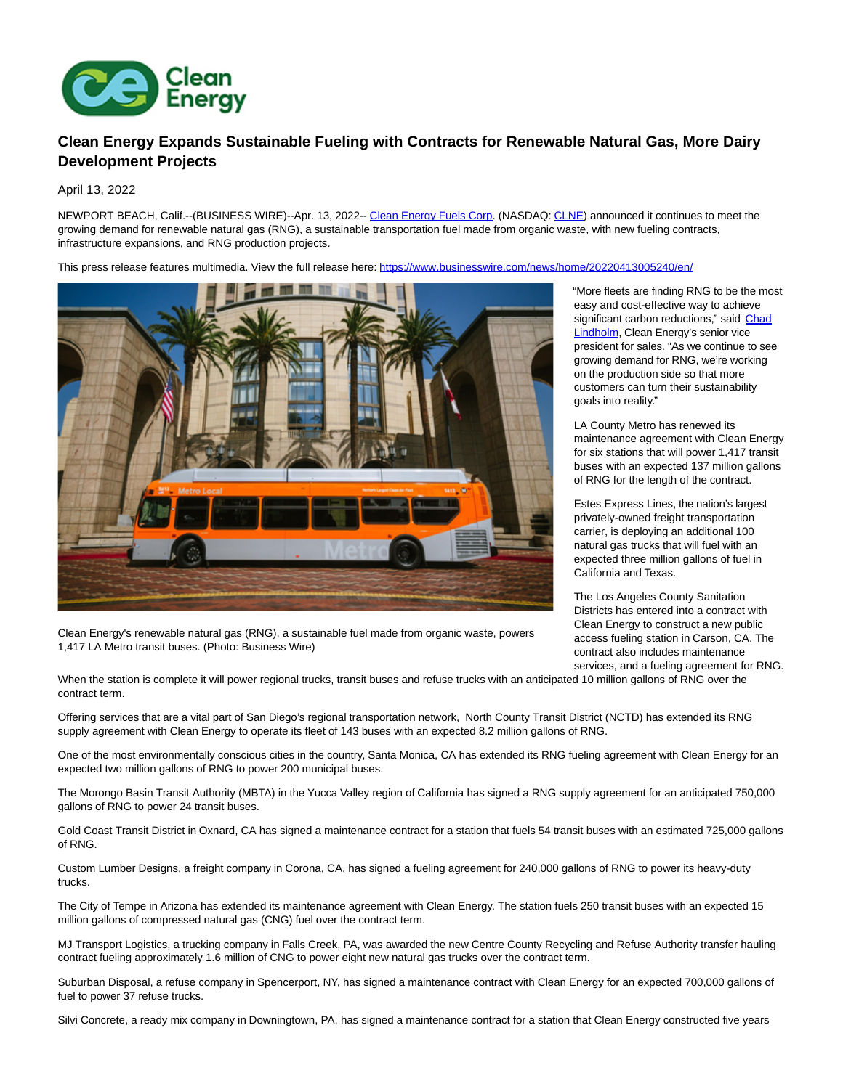

## **Clean Energy Expands Sustainable Fueling with Contracts for Renewable Natural Gas, More Dairy Development Projects**

April 13, 2022

NEWPORT BEACH, Calif.--(BUSINESS WIRE)--Apr. 13, 2022-- [Clean Energy Fuels Corp.](https://cts.businesswire.com/ct/CT?id=smartlink&url=https%3A%2F%2Fwww.cleanenergyfuels.com%2Fabout-us%2Fpress-room&esheet=52684659&newsitemid=20220413005240&lan=en-US&anchor=Clean+Energy+Fuels+Corp&index=1&md5=d150d9dff6f5c0dbbb48e1de0214245a) (NASDAQ: [CLNE\)](https://cts.businesswire.com/ct/CT?id=smartlink&url=https%3A%2F%2Fwww.nasdaq.com%2Fmarket-activity%2Fstocks%2Fclne&esheet=52684659&newsitemid=20220413005240&lan=en-US&anchor=CLNE&index=2&md5=2acd71996cd88449be39f4708b1d32b2) announced it continues to meet the growing demand for renewable natural gas (RNG), a sustainable transportation fuel made from organic waste, with new fueling contracts, infrastructure expansions, and RNG production projects.

This press release features multimedia. View the full release here:<https://www.businesswire.com/news/home/20220413005240/en/>



Clean Energy's renewable natural gas (RNG), a sustainable fuel made from organic waste, powers 1,417 LA Metro transit buses. (Photo: Business Wire)

"More fleets are finding RNG to be the most easy and cost-effective way to achieve significant carbon reductions," said [Chad](https://cts.businesswire.com/ct/CT?id=smartlink&url=https%3A%2F%2Fwww.cleanenergyfuels.com%2Fabout-us%2Fboard-of-directors-leadership%2Fleadership%2Fchad-m-lindholm&esheet=52684659&newsitemid=20220413005240&lan=en-US&anchor=Chad+Lindholm&index=3&md5=9e20eba937bc3bd53831bcc7da0e2e79) Lindholm, Clean Energy's senior vice president for sales. "As we continue to see growing demand for RNG, we're working on the production side so that more customers can turn their sustainability goals into reality."

LA County Metro has renewed its maintenance agreement with Clean Energy for six stations that will power 1,417 transit buses with an expected 137 million gallons of RNG for the length of the contract.

Estes Express Lines, the nation's largest privately-owned freight transportation carrier, is deploying an additional 100 natural gas trucks that will fuel with an expected three million gallons of fuel in California and Texas.

The Los Angeles County Sanitation Districts has entered into a contract with Clean Energy to construct a new public access fueling station in Carson, CA. The contract also includes maintenance services, and a fueling agreement for RNG.

When the station is complete it will power regional trucks, transit buses and refuse trucks with an anticipated 10 million gallons of RNG over the contract term.

Offering services that are a vital part of San Diego's regional transportation network, North County Transit District (NCTD) has extended its RNG supply agreement with Clean Energy to operate its fleet of 143 buses with an expected 8.2 million gallons of RNG.

One of the most environmentally conscious cities in the country, Santa Monica, CA has extended its RNG fueling agreement with Clean Energy for an expected two million gallons of RNG to power 200 municipal buses.

The Morongo Basin Transit Authority (MBTA) in the Yucca Valley region of California has signed a RNG supply agreement for an anticipated 750,000 gallons of RNG to power 24 transit buses.

Gold Coast Transit District in Oxnard, CA has signed a maintenance contract for a station that fuels 54 transit buses with an estimated 725,000 gallons of RNG.

Custom Lumber Designs, a freight company in Corona, CA, has signed a fueling agreement for 240,000 gallons of RNG to power its heavy-duty trucks.

The City of Tempe in Arizona has extended its maintenance agreement with Clean Energy. The station fuels 250 transit buses with an expected 15 million gallons of compressed natural gas (CNG) fuel over the contract term.

MJ Transport Logistics, a trucking company in Falls Creek, PA, was awarded the new Centre County Recycling and Refuse Authority transfer hauling contract fueling approximately 1.6 million of CNG to power eight new natural gas trucks over the contract term.

Suburban Disposal, a refuse company in Spencerport, NY, has signed a maintenance contract with Clean Energy for an expected 700,000 gallons of fuel to power 37 refuse trucks.

Silvi Concrete, a ready mix company in Downingtown, PA, has signed a maintenance contract for a station that Clean Energy constructed five years